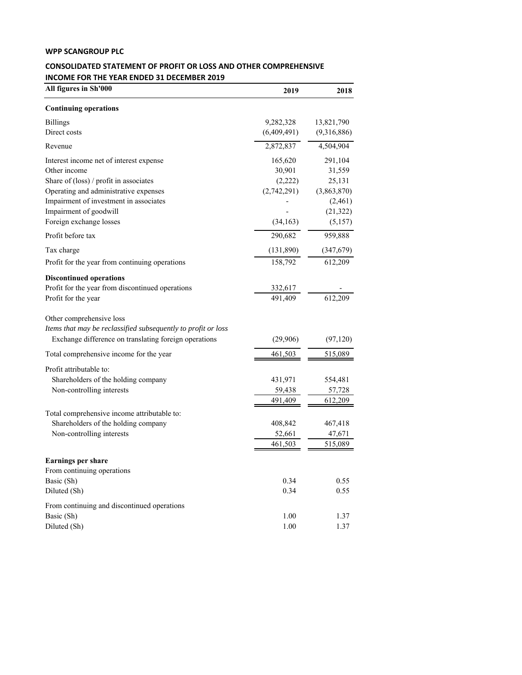## **WPP SCANGROUP PLC**

## **CONSOLIDATED STATEMENT OF PROFIT OR LOSS AND OTHER COMPREHENSIVE INCOME FOR THE YEAR ENDED 31 DECEMBER 2019**

| All figures in Sh'000                                         | 2019        | 2018        |
|---------------------------------------------------------------|-------------|-------------|
| <b>Continuing operations</b>                                  |             |             |
| <b>Billings</b>                                               | 9,282,328   | 13,821,790  |
| Direct costs                                                  | (6,409,491) | (9,316,886) |
| Revenue                                                       | 2,872,837   | 4,504,904   |
| Interest income net of interest expense                       | 165,620     | 291,104     |
| Other income                                                  | 30,901      | 31,559      |
| Share of (loss) / profit in associates                        | (2,222)     | 25,131      |
| Operating and administrative expenses                         | (2,742,291) | (3,863,870) |
| Impairment of investment in associates                        |             | (2,461)     |
| Impairment of goodwill                                        |             | (21, 322)   |
| Foreign exchange losses                                       | (34, 163)   | (5,157)     |
| Profit before tax                                             | 290,682     | 959,888     |
| Tax charge                                                    | (131,890)   | (347,679)   |
| Profit for the year from continuing operations                | 158,792     | 612,209     |
| <b>Discontinued operations</b>                                |             |             |
| Profit for the year from discontinued operations              | 332,617     |             |
| Profit for the year                                           | 491,409     | 612,209     |
| Other comprehensive loss                                      |             |             |
| Items that may be reclassified subsequently to profit or loss |             |             |
| Exchange difference on translating foreign operations         | (29,906)    | (97, 120)   |
| Total comprehensive income for the year                       | 461,503     | 515,089     |
| Profit attributable to:                                       |             |             |
| Shareholders of the holding company                           | 431,971     | 554,481     |
| Non-controlling interests                                     | 59,438      | 57,728      |
|                                                               | 491,409     | 612,209     |
| Total comprehensive income attributable to:                   |             |             |
| Shareholders of the holding company                           | 408,842     | 467,418     |
| Non-controlling interests                                     | 52,661      | 47,671      |
|                                                               | 461,503     | 515,089     |
| <b>Earnings per share</b>                                     |             |             |
| From continuing operations                                    |             |             |
| Basic (Sh)                                                    | 0.34        | 0.55        |
| Diluted (Sh)                                                  | 0.34        | 0.55        |
| From continuing and discontinued operations                   |             |             |
| Basic (Sh)                                                    | 1.00        | 1.37        |
| Diluted (Sh)                                                  | 1.00        | 1.37        |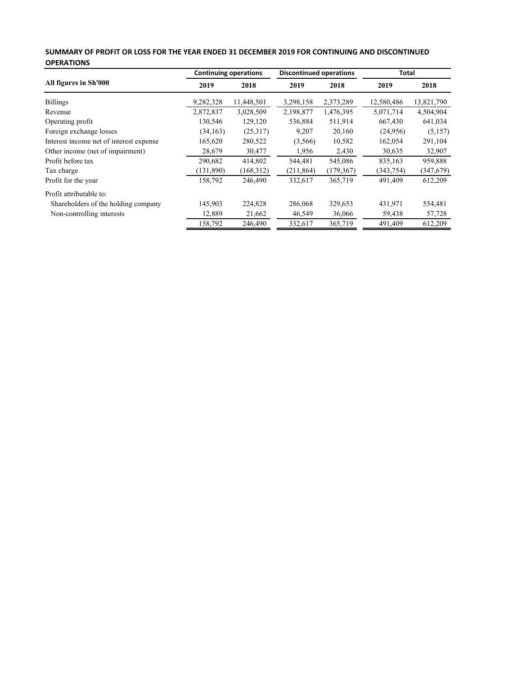| SUMMARY OF PROFIT OR LOSS FOR THE YEAR ENDED 31 DECEMBER 2019 FOR CONTINUING AND DISCONTINUED |
|-----------------------------------------------------------------------------------------------|
| <b>OPERATIONS</b>                                                                             |

|                                         | <b>Continuing operations</b> |            | <b>Discontinued operations</b> |            | Total      |            |
|-----------------------------------------|------------------------------|------------|--------------------------------|------------|------------|------------|
| All figures in Sh'000                   | 2019                         | 2018       | 2019                           | 2018       | 2019       | 2018       |
| <b>Billings</b>                         | 9,282,328                    | 11,448,501 | 3,298,158                      | 2,373,289  | 12,580,486 | 13,821,790 |
| Revenue                                 | 2,872,837                    | 3,028,509  | 2,198,877                      | 1,476,395  | 5,071,714  | 4,504,904  |
| Operating profit                        | 130,546                      | 129,120    | 536,884                        | 511,914    | 667,430    | 641,034    |
| Foreign exchange losses                 | (34, 163)                    | (25,317)   | 9,207                          | 20,160     | (24,956)   | (5,157)    |
| Interest income net of interest expense | 165,620                      | 280,522    | (3,566)                        | 10,582     | 162,054    | 291,104    |
| Other income (net of impairment)        | 28,679                       | 30,477     | 1,956                          | 2,430      | 30,635     | 32,907     |
| Profit before tax                       | 290,682                      | 414,802    | 544,481                        | 545,086    | 835,163    | 959,888    |
| Tax charge                              | (131,890)                    | (168,312)  | (211, 864)                     | (179, 367) | (343, 754) | (347,679)  |
| Profit for the year                     | 158,792                      | 246,490    | 332,617                        | 365,719    | 491,409    | 612,209    |
| Profit attributable to:                 |                              |            |                                |            |            |            |
| Shareholders of the holding company     | 145,903                      | 224,828    | 286,068                        | 329,653    | 431,971    | 554,481    |
| Non-controlling interests               | 12,889                       | 21,662     | 46,549                         | 36,066     | 59,438     | 57,728     |
|                                         | 158,792                      | 246,490    | 332,617                        | 365,719    | 491,409    | 612,209    |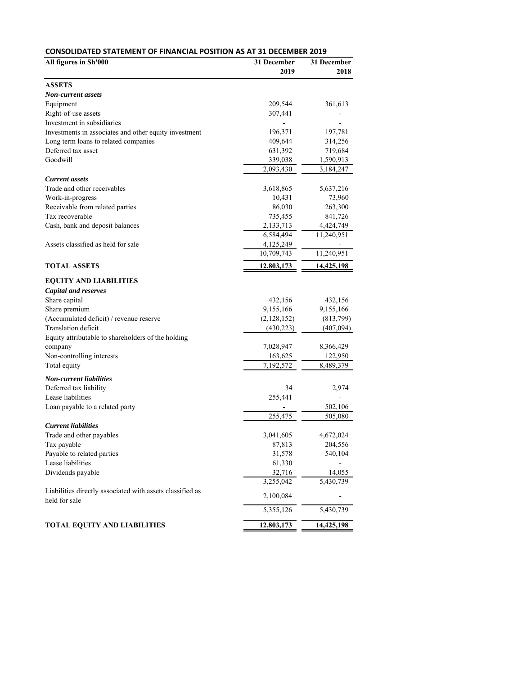| All figures in Sh'000<br>31 December<br>2019<br><b>ASSETS</b><br>Non-current assets<br>Equipment<br>209,544<br>361,613<br>Right-of-use assets<br>307,441<br>Investment in subsidiaries<br>196,371<br>197,781<br>Investments in associates and other equity investment<br>Long term loans to related companies<br>409,644<br>314,256<br>Deferred tax asset<br>631,392<br>719,684<br>Goodwill<br>339,038<br>1,590,913<br>2,093,430<br>3,184,247<br><b>Current assets</b><br>Trade and other receivables<br>3,618,865<br>5,637,216<br>Work-in-progress<br>10,431<br>73,960<br>Receivable from related parties<br>86,030<br>263,300<br>Tax recoverable<br>735,455<br>841,726<br>Cash, bank and deposit balances<br>2,133,713<br>4,424,749<br>6,584,494<br>11,240,951<br>Assets classified as held for sale<br>4,125,249<br>10,709,743<br>11,240,951<br><b>TOTAL ASSETS</b><br>12,803,173<br>14,425,198<br><b>EQUITY AND LIABILITIES</b><br><b>Capital and reserves</b><br>Share capital<br>432,156<br>432,156<br>Share premium<br>9,155,166<br>9,155,166<br>(Accumulated deficit) / revenue reserve<br>(2,128,152)<br>(813,799)<br>Translation deficit<br>(430, 223)<br>(407,094)<br>Equity attributable to shareholders of the holding<br>company<br>7,028,947<br>8,366,429<br>Non-controlling interests<br>163,625<br>122,950<br>Total equity<br>7,192,572<br>8,489,379<br><b>Non-current liabilities</b><br>Deferred tax liability<br>34<br>2,974<br>Lease liabilities<br>255,441<br>Loan payable to a related party<br>502,106<br>255,475<br>505,080<br><b>Current liabilities</b><br>3,041,605<br>Trade and other payables<br>4,672,024<br>Tax payable<br>87,813<br>204,556<br>Payable to related parties<br>31,578<br>540,104<br>Lease liabilities<br>61,330<br>Dividends payable<br>32,716<br>14,055<br>3,255,042<br>5,430,739<br>Liabilities directly associated with assets classified as<br>2,100,084<br>held for sale<br>5,355,126<br>5,430,739 | <b>CONSOLIDATED STATEMENT OF FINANCIAL POSITION AS AT 31 DECEMBER 2019</b> |  |                     |  |  |  |
|--------------------------------------------------------------------------------------------------------------------------------------------------------------------------------------------------------------------------------------------------------------------------------------------------------------------------------------------------------------------------------------------------------------------------------------------------------------------------------------------------------------------------------------------------------------------------------------------------------------------------------------------------------------------------------------------------------------------------------------------------------------------------------------------------------------------------------------------------------------------------------------------------------------------------------------------------------------------------------------------------------------------------------------------------------------------------------------------------------------------------------------------------------------------------------------------------------------------------------------------------------------------------------------------------------------------------------------------------------------------------------------------------------------------------------------------------------------------------------------------------------------------------------------------------------------------------------------------------------------------------------------------------------------------------------------------------------------------------------------------------------------------------------------------------------------------------------------------------------------------------------------------------------------------------------------------------------|----------------------------------------------------------------------------|--|---------------------|--|--|--|
|                                                                                                                                                                                                                                                                                                                                                                                                                                                                                                                                                                                                                                                                                                                                                                                                                                                                                                                                                                                                                                                                                                                                                                                                                                                                                                                                                                                                                                                                                                                                                                                                                                                                                                                                                                                                                                                                                                                                                        |                                                                            |  | 31 December<br>2018 |  |  |  |
|                                                                                                                                                                                                                                                                                                                                                                                                                                                                                                                                                                                                                                                                                                                                                                                                                                                                                                                                                                                                                                                                                                                                                                                                                                                                                                                                                                                                                                                                                                                                                                                                                                                                                                                                                                                                                                                                                                                                                        |                                                                            |  |                     |  |  |  |
|                                                                                                                                                                                                                                                                                                                                                                                                                                                                                                                                                                                                                                                                                                                                                                                                                                                                                                                                                                                                                                                                                                                                                                                                                                                                                                                                                                                                                                                                                                                                                                                                                                                                                                                                                                                                                                                                                                                                                        |                                                                            |  |                     |  |  |  |
|                                                                                                                                                                                                                                                                                                                                                                                                                                                                                                                                                                                                                                                                                                                                                                                                                                                                                                                                                                                                                                                                                                                                                                                                                                                                                                                                                                                                                                                                                                                                                                                                                                                                                                                                                                                                                                                                                                                                                        |                                                                            |  |                     |  |  |  |
|                                                                                                                                                                                                                                                                                                                                                                                                                                                                                                                                                                                                                                                                                                                                                                                                                                                                                                                                                                                                                                                                                                                                                                                                                                                                                                                                                                                                                                                                                                                                                                                                                                                                                                                                                                                                                                                                                                                                                        |                                                                            |  |                     |  |  |  |
|                                                                                                                                                                                                                                                                                                                                                                                                                                                                                                                                                                                                                                                                                                                                                                                                                                                                                                                                                                                                                                                                                                                                                                                                                                                                                                                                                                                                                                                                                                                                                                                                                                                                                                                                                                                                                                                                                                                                                        |                                                                            |  |                     |  |  |  |
|                                                                                                                                                                                                                                                                                                                                                                                                                                                                                                                                                                                                                                                                                                                                                                                                                                                                                                                                                                                                                                                                                                                                                                                                                                                                                                                                                                                                                                                                                                                                                                                                                                                                                                                                                                                                                                                                                                                                                        |                                                                            |  |                     |  |  |  |
|                                                                                                                                                                                                                                                                                                                                                                                                                                                                                                                                                                                                                                                                                                                                                                                                                                                                                                                                                                                                                                                                                                                                                                                                                                                                                                                                                                                                                                                                                                                                                                                                                                                                                                                                                                                                                                                                                                                                                        |                                                                            |  |                     |  |  |  |
|                                                                                                                                                                                                                                                                                                                                                                                                                                                                                                                                                                                                                                                                                                                                                                                                                                                                                                                                                                                                                                                                                                                                                                                                                                                                                                                                                                                                                                                                                                                                                                                                                                                                                                                                                                                                                                                                                                                                                        |                                                                            |  |                     |  |  |  |
|                                                                                                                                                                                                                                                                                                                                                                                                                                                                                                                                                                                                                                                                                                                                                                                                                                                                                                                                                                                                                                                                                                                                                                                                                                                                                                                                                                                                                                                                                                                                                                                                                                                                                                                                                                                                                                                                                                                                                        |                                                                            |  |                     |  |  |  |
|                                                                                                                                                                                                                                                                                                                                                                                                                                                                                                                                                                                                                                                                                                                                                                                                                                                                                                                                                                                                                                                                                                                                                                                                                                                                                                                                                                                                                                                                                                                                                                                                                                                                                                                                                                                                                                                                                                                                                        |                                                                            |  |                     |  |  |  |
|                                                                                                                                                                                                                                                                                                                                                                                                                                                                                                                                                                                                                                                                                                                                                                                                                                                                                                                                                                                                                                                                                                                                                                                                                                                                                                                                                                                                                                                                                                                                                                                                                                                                                                                                                                                                                                                                                                                                                        |                                                                            |  |                     |  |  |  |
|                                                                                                                                                                                                                                                                                                                                                                                                                                                                                                                                                                                                                                                                                                                                                                                                                                                                                                                                                                                                                                                                                                                                                                                                                                                                                                                                                                                                                                                                                                                                                                                                                                                                                                                                                                                                                                                                                                                                                        |                                                                            |  |                     |  |  |  |
|                                                                                                                                                                                                                                                                                                                                                                                                                                                                                                                                                                                                                                                                                                                                                                                                                                                                                                                                                                                                                                                                                                                                                                                                                                                                                                                                                                                                                                                                                                                                                                                                                                                                                                                                                                                                                                                                                                                                                        |                                                                            |  |                     |  |  |  |
|                                                                                                                                                                                                                                                                                                                                                                                                                                                                                                                                                                                                                                                                                                                                                                                                                                                                                                                                                                                                                                                                                                                                                                                                                                                                                                                                                                                                                                                                                                                                                                                                                                                                                                                                                                                                                                                                                                                                                        |                                                                            |  |                     |  |  |  |
|                                                                                                                                                                                                                                                                                                                                                                                                                                                                                                                                                                                                                                                                                                                                                                                                                                                                                                                                                                                                                                                                                                                                                                                                                                                                                                                                                                                                                                                                                                                                                                                                                                                                                                                                                                                                                                                                                                                                                        |                                                                            |  |                     |  |  |  |
|                                                                                                                                                                                                                                                                                                                                                                                                                                                                                                                                                                                                                                                                                                                                                                                                                                                                                                                                                                                                                                                                                                                                                                                                                                                                                                                                                                                                                                                                                                                                                                                                                                                                                                                                                                                                                                                                                                                                                        |                                                                            |  |                     |  |  |  |
|                                                                                                                                                                                                                                                                                                                                                                                                                                                                                                                                                                                                                                                                                                                                                                                                                                                                                                                                                                                                                                                                                                                                                                                                                                                                                                                                                                                                                                                                                                                                                                                                                                                                                                                                                                                                                                                                                                                                                        |                                                                            |  |                     |  |  |  |
|                                                                                                                                                                                                                                                                                                                                                                                                                                                                                                                                                                                                                                                                                                                                                                                                                                                                                                                                                                                                                                                                                                                                                                                                                                                                                                                                                                                                                                                                                                                                                                                                                                                                                                                                                                                                                                                                                                                                                        |                                                                            |  |                     |  |  |  |
|                                                                                                                                                                                                                                                                                                                                                                                                                                                                                                                                                                                                                                                                                                                                                                                                                                                                                                                                                                                                                                                                                                                                                                                                                                                                                                                                                                                                                                                                                                                                                                                                                                                                                                                                                                                                                                                                                                                                                        |                                                                            |  |                     |  |  |  |
|                                                                                                                                                                                                                                                                                                                                                                                                                                                                                                                                                                                                                                                                                                                                                                                                                                                                                                                                                                                                                                                                                                                                                                                                                                                                                                                                                                                                                                                                                                                                                                                                                                                                                                                                                                                                                                                                                                                                                        |                                                                            |  |                     |  |  |  |
|                                                                                                                                                                                                                                                                                                                                                                                                                                                                                                                                                                                                                                                                                                                                                                                                                                                                                                                                                                                                                                                                                                                                                                                                                                                                                                                                                                                                                                                                                                                                                                                                                                                                                                                                                                                                                                                                                                                                                        |                                                                            |  |                     |  |  |  |
|                                                                                                                                                                                                                                                                                                                                                                                                                                                                                                                                                                                                                                                                                                                                                                                                                                                                                                                                                                                                                                                                                                                                                                                                                                                                                                                                                                                                                                                                                                                                                                                                                                                                                                                                                                                                                                                                                                                                                        |                                                                            |  |                     |  |  |  |
|                                                                                                                                                                                                                                                                                                                                                                                                                                                                                                                                                                                                                                                                                                                                                                                                                                                                                                                                                                                                                                                                                                                                                                                                                                                                                                                                                                                                                                                                                                                                                                                                                                                                                                                                                                                                                                                                                                                                                        |                                                                            |  |                     |  |  |  |
|                                                                                                                                                                                                                                                                                                                                                                                                                                                                                                                                                                                                                                                                                                                                                                                                                                                                                                                                                                                                                                                                                                                                                                                                                                                                                                                                                                                                                                                                                                                                                                                                                                                                                                                                                                                                                                                                                                                                                        |                                                                            |  |                     |  |  |  |
|                                                                                                                                                                                                                                                                                                                                                                                                                                                                                                                                                                                                                                                                                                                                                                                                                                                                                                                                                                                                                                                                                                                                                                                                                                                                                                                                                                                                                                                                                                                                                                                                                                                                                                                                                                                                                                                                                                                                                        |                                                                            |  |                     |  |  |  |
|                                                                                                                                                                                                                                                                                                                                                                                                                                                                                                                                                                                                                                                                                                                                                                                                                                                                                                                                                                                                                                                                                                                                                                                                                                                                                                                                                                                                                                                                                                                                                                                                                                                                                                                                                                                                                                                                                                                                                        |                                                                            |  |                     |  |  |  |
|                                                                                                                                                                                                                                                                                                                                                                                                                                                                                                                                                                                                                                                                                                                                                                                                                                                                                                                                                                                                                                                                                                                                                                                                                                                                                                                                                                                                                                                                                                                                                                                                                                                                                                                                                                                                                                                                                                                                                        |                                                                            |  |                     |  |  |  |
|                                                                                                                                                                                                                                                                                                                                                                                                                                                                                                                                                                                                                                                                                                                                                                                                                                                                                                                                                                                                                                                                                                                                                                                                                                                                                                                                                                                                                                                                                                                                                                                                                                                                                                                                                                                                                                                                                                                                                        |                                                                            |  |                     |  |  |  |
|                                                                                                                                                                                                                                                                                                                                                                                                                                                                                                                                                                                                                                                                                                                                                                                                                                                                                                                                                                                                                                                                                                                                                                                                                                                                                                                                                                                                                                                                                                                                                                                                                                                                                                                                                                                                                                                                                                                                                        |                                                                            |  |                     |  |  |  |
|                                                                                                                                                                                                                                                                                                                                                                                                                                                                                                                                                                                                                                                                                                                                                                                                                                                                                                                                                                                                                                                                                                                                                                                                                                                                                                                                                                                                                                                                                                                                                                                                                                                                                                                                                                                                                                                                                                                                                        |                                                                            |  |                     |  |  |  |
|                                                                                                                                                                                                                                                                                                                                                                                                                                                                                                                                                                                                                                                                                                                                                                                                                                                                                                                                                                                                                                                                                                                                                                                                                                                                                                                                                                                                                                                                                                                                                                                                                                                                                                                                                                                                                                                                                                                                                        |                                                                            |  |                     |  |  |  |
|                                                                                                                                                                                                                                                                                                                                                                                                                                                                                                                                                                                                                                                                                                                                                                                                                                                                                                                                                                                                                                                                                                                                                                                                                                                                                                                                                                                                                                                                                                                                                                                                                                                                                                                                                                                                                                                                                                                                                        |                                                                            |  |                     |  |  |  |
|                                                                                                                                                                                                                                                                                                                                                                                                                                                                                                                                                                                                                                                                                                                                                                                                                                                                                                                                                                                                                                                                                                                                                                                                                                                                                                                                                                                                                                                                                                                                                                                                                                                                                                                                                                                                                                                                                                                                                        |                                                                            |  |                     |  |  |  |
|                                                                                                                                                                                                                                                                                                                                                                                                                                                                                                                                                                                                                                                                                                                                                                                                                                                                                                                                                                                                                                                                                                                                                                                                                                                                                                                                                                                                                                                                                                                                                                                                                                                                                                                                                                                                                                                                                                                                                        |                                                                            |  |                     |  |  |  |
|                                                                                                                                                                                                                                                                                                                                                                                                                                                                                                                                                                                                                                                                                                                                                                                                                                                                                                                                                                                                                                                                                                                                                                                                                                                                                                                                                                                                                                                                                                                                                                                                                                                                                                                                                                                                                                                                                                                                                        |                                                                            |  |                     |  |  |  |
|                                                                                                                                                                                                                                                                                                                                                                                                                                                                                                                                                                                                                                                                                                                                                                                                                                                                                                                                                                                                                                                                                                                                                                                                                                                                                                                                                                                                                                                                                                                                                                                                                                                                                                                                                                                                                                                                                                                                                        |                                                                            |  |                     |  |  |  |
|                                                                                                                                                                                                                                                                                                                                                                                                                                                                                                                                                                                                                                                                                                                                                                                                                                                                                                                                                                                                                                                                                                                                                                                                                                                                                                                                                                                                                                                                                                                                                                                                                                                                                                                                                                                                                                                                                                                                                        |                                                                            |  |                     |  |  |  |
|                                                                                                                                                                                                                                                                                                                                                                                                                                                                                                                                                                                                                                                                                                                                                                                                                                                                                                                                                                                                                                                                                                                                                                                                                                                                                                                                                                                                                                                                                                                                                                                                                                                                                                                                                                                                                                                                                                                                                        |                                                                            |  |                     |  |  |  |
|                                                                                                                                                                                                                                                                                                                                                                                                                                                                                                                                                                                                                                                                                                                                                                                                                                                                                                                                                                                                                                                                                                                                                                                                                                                                                                                                                                                                                                                                                                                                                                                                                                                                                                                                                                                                                                                                                                                                                        |                                                                            |  |                     |  |  |  |
|                                                                                                                                                                                                                                                                                                                                                                                                                                                                                                                                                                                                                                                                                                                                                                                                                                                                                                                                                                                                                                                                                                                                                                                                                                                                                                                                                                                                                                                                                                                                                                                                                                                                                                                                                                                                                                                                                                                                                        |                                                                            |  |                     |  |  |  |
|                                                                                                                                                                                                                                                                                                                                                                                                                                                                                                                                                                                                                                                                                                                                                                                                                                                                                                                                                                                                                                                                                                                                                                                                                                                                                                                                                                                                                                                                                                                                                                                                                                                                                                                                                                                                                                                                                                                                                        |                                                                            |  |                     |  |  |  |
|                                                                                                                                                                                                                                                                                                                                                                                                                                                                                                                                                                                                                                                                                                                                                                                                                                                                                                                                                                                                                                                                                                                                                                                                                                                                                                                                                                                                                                                                                                                                                                                                                                                                                                                                                                                                                                                                                                                                                        |                                                                            |  |                     |  |  |  |
|                                                                                                                                                                                                                                                                                                                                                                                                                                                                                                                                                                                                                                                                                                                                                                                                                                                                                                                                                                                                                                                                                                                                                                                                                                                                                                                                                                                                                                                                                                                                                                                                                                                                                                                                                                                                                                                                                                                                                        |                                                                            |  |                     |  |  |  |
|                                                                                                                                                                                                                                                                                                                                                                                                                                                                                                                                                                                                                                                                                                                                                                                                                                                                                                                                                                                                                                                                                                                                                                                                                                                                                                                                                                                                                                                                                                                                                                                                                                                                                                                                                                                                                                                                                                                                                        |                                                                            |  |                     |  |  |  |
| TOTAL EQUITY AND LIABILITIES<br>12,803,173<br>14,425,198                                                                                                                                                                                                                                                                                                                                                                                                                                                                                                                                                                                                                                                                                                                                                                                                                                                                                                                                                                                                                                                                                                                                                                                                                                                                                                                                                                                                                                                                                                                                                                                                                                                                                                                                                                                                                                                                                               |                                                                            |  |                     |  |  |  |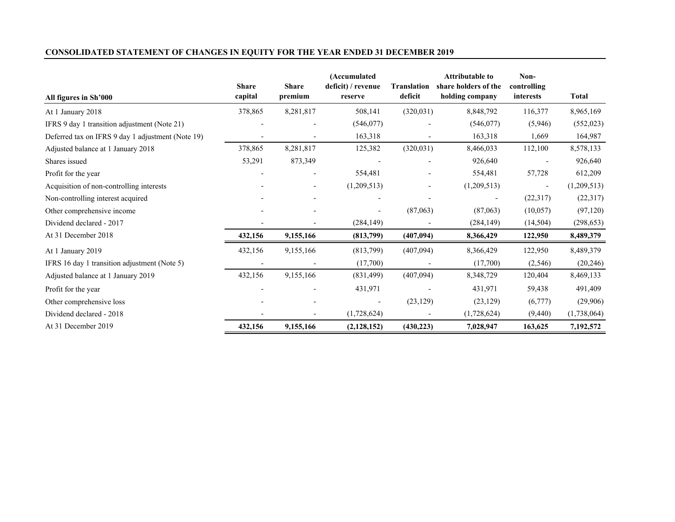## **CONSOLIDATED STATEMENT OF CHANGES IN EQUITY FOR THE YEAR ENDED 31 DECEMBER 2019**

| All figures in Sh'000                             | <b>Share</b><br>capital | <b>Share</b><br>premium | (Accumulated<br>deficit) / revenue<br>reserve | <b>Translation</b><br>deficit | <b>Attributable to</b><br>share holders of the<br>holding company | Non-<br>controlling<br>interests | <b>Total</b> |
|---------------------------------------------------|-------------------------|-------------------------|-----------------------------------------------|-------------------------------|-------------------------------------------------------------------|----------------------------------|--------------|
| At 1 January 2018                                 | 378,865                 | 8,281,817               | 508,141                                       | (320,031)                     | 8,848,792                                                         | 116,377                          | 8,965,169    |
| IFRS 9 day 1 transition adjustment (Note 21)      |                         |                         | (546, 077)                                    |                               | (546, 077)                                                        | (5,946)                          | (552, 023)   |
| Deferred tax on IFRS 9 day 1 adjustment (Note 19) |                         |                         | 163,318                                       | $\overline{\phantom{a}}$      | 163,318                                                           | 1,669                            | 164,987      |
| Adjusted balance at 1 January 2018                | 378,865                 | 8,281,817               | 125,382                                       | (320, 031)                    | 8,466,033                                                         | 112,100                          | 8,578,133    |
| Shares issued                                     | 53,291                  | 873,349                 |                                               |                               | 926,640                                                           |                                  | 926,640      |
| Profit for the year                               |                         |                         | 554,481                                       |                               | 554,481                                                           | 57,728                           | 612,209      |
| Acquisition of non-controlling interests          |                         |                         | (1,209,513)                                   | $\overline{\phantom{a}}$      | (1,209,513)                                                       |                                  | (1,209,513)  |
| Non-controlling interest acquired                 |                         |                         |                                               |                               |                                                                   | (22,317)                         | (22,317)     |
| Other comprehensive income                        |                         |                         | $\overline{\phantom{a}}$                      | (87,063)                      | (87,063)                                                          | (10,057)                         | (97, 120)    |
| Dividend declared - 2017                          |                         |                         | (284, 149)                                    |                               | (284, 149)                                                        | (14,504)                         | (298, 653)   |
| At 31 December 2018                               | 432,156                 | 9,155,166               | (813,799)                                     | (407,094)                     | 8,366,429                                                         | 122,950                          | 8,489,379    |
| At 1 January 2019                                 | 432,156                 | 9,155,166               | (813,799)                                     | (407,094)                     | 8,366,429                                                         | 122,950                          | 8,489,379    |
| IFRS 16 day 1 transition adjustment (Note 5)      |                         |                         | (17,700)                                      |                               | (17,700)                                                          | (2, 546)                         | (20, 246)    |
| Adjusted balance at 1 January 2019                | 432,156                 | 9,155,166               | (831, 499)                                    | (407,094)                     | 8,348,729                                                         | 120,404                          | 8,469,133    |
| Profit for the year                               |                         |                         | 431,971                                       |                               | 431,971                                                           | 59,438                           | 491,409      |
| Other comprehensive loss                          |                         |                         | $\overline{\phantom{a}}$                      | (23, 129)                     | (23, 129)                                                         | (6,777)                          | (29,906)     |
| Dividend declared - 2018                          |                         |                         | (1,728,624)                                   |                               | (1,728,624)                                                       | (9, 440)                         | (1,738,064)  |
| At 31 December 2019                               | 432,156                 | 9,155,166               | (2,128,152)                                   | (430, 223)                    | 7,028,947                                                         | 163,625                          | 7,192,572    |